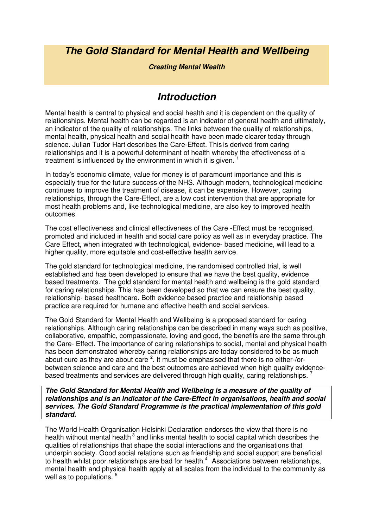### **The Gold Standard for Mental Health and Wellbeing**

#### **Creating Mental Wealth**

### **Introduction**

Mental health is central to physical and social health and it is dependent on the quality of relationships. Mental health can be regarded is an indicator of general health and ultimately, an indicator of the quality of relationships. The links between the quality of relationships, mental health, physical health and social health have been made clearer today through science. Julian Tudor Hart describes the Care-Effect. This is derived from caring relationships and it is a powerful determinant of health whereby the effectiveness of a treatment is influenced by the environment in which it is given.

In today's economic climate, value for money is of paramount importance and this is especially true for the future success of the NHS. Although modern, technological medicine continues to improve the treatment of disease, it can be expensive. However, caring relationships, through the Care-Effect, are a low cost intervention that are appropriate for most health problems and, like technological medicine, are also key to improved health outcomes.

The cost effectiveness and clinical effectiveness of the Care -Effect must be recognised, promoted and included in health and social care policy as well as in everyday practice. The Care Effect, when integrated with technological, evidence- based medicine, will lead to a higher quality, more equitable and cost-effective health service.

The gold standard for technological medicine, the randomised controlled trial, is well established and has been developed to ensure that we have the best quality, evidence based treatments. The gold standard for mental health and wellbeing is the gold standard for caring relationships. This has been developed so that we can ensure the best quality, relationship- based healthcare. Both evidence based practice and relationship based practice are required for humane and effective health and social services.

The Gold Standard for Mental Health and Wellbeing is a proposed standard for caring relationships. Although caring relationships can be described in many ways such as positive, collaborative, empathic, compassionate, loving and good, the benefits are the same through the Care- Effect. The importance of caring relationships to social, mental and physical health has been demonstrated whereby caring relationships are today considered to be as much about cure as they are about care  $^2$ . It must be emphasised that there is no either-/orbetween science and care and the best outcomes are achieved when high quality evidencebased treatments and services are delivered through high quality, caring relationships.<sup>7</sup>

**The Gold Standard for Mental Health and Wellbeing is a measure of the quality of relationships and is an indicator of the Care-Effect in organisations, health and social services. The Gold Standard Programme is the practical implementation of this gold standard.** 

The World Health Organisation Helsinki Declaration endorses the view that there is no health without mental health<sup>3</sup> and links mental health to social capital which describes the qualities of relationships that shape the social interactions and the organisations that underpin society. Good social relations such as friendship and social support are beneficial to health whilst poor relationships are bad for health.<sup>4</sup> Associations between relationships, mental health and physical health apply at all scales from the individual to the community as well as to populations.<sup>5</sup>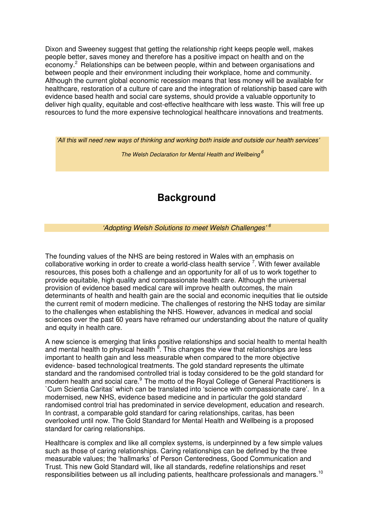Dixon and Sweeney suggest that getting the relationship right keeps people well, makes people better, saves money and therefore has a positive impact on health and on the economy.<sup>2</sup> Relationships can be between people, within and between organisations and between people and their environment including their workplace, home and community. Although the current global economic recession means that less money will be available for healthcare, restoration of a culture of care and the integration of relationship based care with evidence based health and social care systems, should provide a valuable opportunity to deliver high quality, equitable and cost-effective healthcare with less waste. This will free up resources to fund the more expensive technological healthcare innovations and treatments.

```
'All this will need new ways of thinking and working both inside and outside our health services'
```
The Welsh Declaration for Mental Health and Wellbeing<sup>6</sup>

# **Background**

'Adopting Welsh Solutions to meet Welsh Challenges' <sup>6</sup>

The founding values of the NHS are being restored in Wales with an emphasis on collaborative working in order to create a world-class health service  $7$ . With fewer available resources, this poses both a challenge and an opportunity for all of us to work together to provide equitable, high quality and compassionate health care. Although the universal provision of evidence based medical care will improve health outcomes, the main determinants of health and health gain are the social and economic inequities that lie outside the current remit of modern medicine. The challenges of restoring the NHS today are similar to the challenges when establishing the NHS. However, advances in medical and social sciences over the past 60 years have reframed our understanding about the nature of quality and equity in health care.

A new science is emerging that links positive relationships and social health to mental health and mental health to physical health <sup>8</sup>. This changes the view that relationships are less important to health gain and less measurable when compared to the more objective evidence- based technological treatments. The gold standard represents the ultimate standard and the randomised controlled trial is today considered to be the gold standard for modern health and social care.<sup>9</sup> The motto of the Royal College of General Practitioners is `Cum Scientia Caritas' which can be translated into 'science with compassionate care'. In a modernised, new NHS, evidence based medicine and in particular the gold standard randomised control trial has predominated in service development, education and research. In contrast, a comparable gold standard for caring relationships, caritas, has been overlooked until now. The Gold Standard for Mental Health and Wellbeing is a proposed standard for caring relationships.

Healthcare is complex and like all complex systems, is underpinned by a few simple values such as those of caring relationships. Caring relationships can be defined by the three measurable values; the 'hallmarks' of Person Centeredness, Good Communication and Trust. This new Gold Standard will, like all standards, redefine relationships and reset responsibilities between us all including patients, healthcare professionals and managers.<sup>10</sup>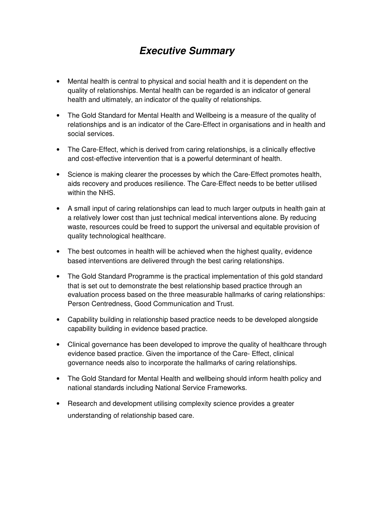# **Executive Summary**

- Mental health is central to physical and social health and it is dependent on the quality of relationships. Mental health can be regarded is an indicator of general health and ultimately, an indicator of the quality of relationships.
- The Gold Standard for Mental Health and Wellbeing is a measure of the quality of relationships and is an indicator of the Care-Effect in organisations and in health and social services.
- The Care-Effect, which is derived from caring relationships, is a clinically effective and cost-effective intervention that is a powerful determinant of health.
- Science is making clearer the processes by which the Care-Effect promotes health, aids recovery and produces resilience. The Care-Effect needs to be better utilised within the NHS.
- A small input of caring relationships can lead to much larger outputs in health gain at a relatively lower cost than just technical medical interventions alone. By reducing waste, resources could be freed to support the universal and equitable provision of quality technological healthcare.
- The best outcomes in health will be achieved when the highest quality, evidence based interventions are delivered through the best caring relationships.
- The Gold Standard Programme is the practical implementation of this gold standard that is set out to demonstrate the best relationship based practice through an evaluation process based on the three measurable hallmarks of caring relationships: Person Centredness, Good Communication and Trust.
- Capability building in relationship based practice needs to be developed alongside capability building in evidence based practice.
- Clinical governance has been developed to improve the quality of healthcare through evidence based practice. Given the importance of the Care- Effect, clinical governance needs also to incorporate the hallmarks of caring relationships.
- The Gold Standard for Mental Health and wellbeing should inform health policy and national standards including National Service Frameworks.
- Research and development utilising complexity science provides a greater understanding of relationship based care.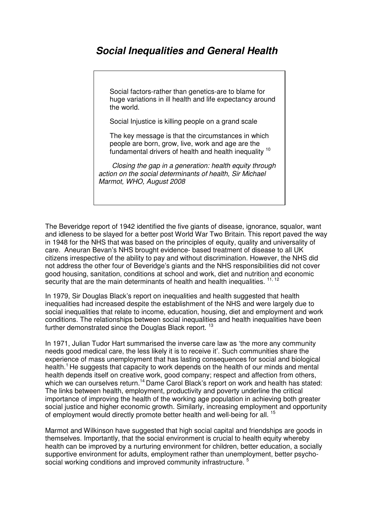### **Social Inequalities and General Health**

Social factors-rather than genetics-are to blame for huge variations in ill health and life expectancy around the world.

Social Injustice is killing people on a grand scale

The key message is that the circumstances in which people are born, grow, live, work and age are the fundamental drivers of health and health inequality <sup>10</sup>

 Closing the gap in a generation: health equity through action on the social determinants of health, Sir Michael Marmot, WHO, August 2008

The Beveridge report of 1942 identified the five giants of disease, ignorance, squalor, want and idleness to be slayed for a better post World War Two Britain. This report paved the way in 1948 for the NHS that was based on the principles of equity, quality and universality of care. Aneuran Bevan's NHS brought evidence- based treatment of disease to all UK citizens irrespective of the ability to pay and without discrimination. However, the NHS did not address the other four of Beveridge's giants and the NHS responsibilities did not cover good housing, sanitation, conditions at school and work, diet and nutrition and economic security that are the main determinants of health and health inequalities.  $11, 12$ 

In 1979, Sir Douglas Black's report on inequalities and health suggested that health inequalities had increased despite the establishment of the NHS and were largely due to social inequalities that relate to income, education, housing, diet and employment and work conditions. The relationships between social inequalities and health inequalities have been further demonstrated since the Douglas Black report.<sup>13</sup>

In 1971, Julian Tudor Hart summarised the inverse care law as 'the more any community needs good medical care, the less likely it is to receive it'. Such communities share the experience of mass unemployment that has lasting consequences for social and biological health.<sup>1</sup> He suggests that capacity to work depends on the health of our minds and mental health depends itself on creative work, good company; respect and affection from others, which we can ourselves return.<sup>14</sup> Dame Carol Black's report on work and health has stated: The links between health, employment, productivity and poverty underline the critical importance of improving the health of the working age population in achieving both greater social justice and higher economic growth. Similarly, increasing employment and opportunity of employment would directly promote better health and well-being for all. <sup>15</sup>

Marmot and Wilkinson have suggested that high social capital and friendships are goods in themselves. Importantly, that the social environment is crucial to health equity whereby health can be improved by a nurturing environment for children, better education, a socially supportive environment for adults, employment rather than unemployment, better psychosocial working conditions and improved community infrastructure.<sup>5</sup>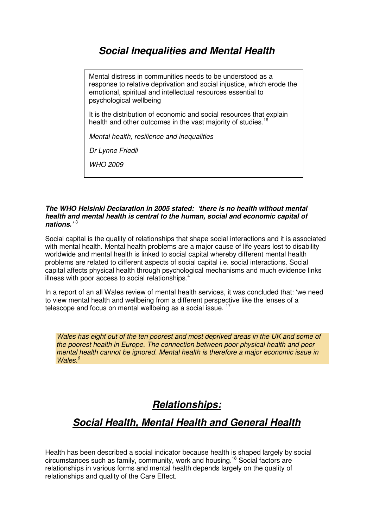### **Social Inequalities and Mental Health**

Mental distress in communities needs to be understood as a response to relative deprivation and social injustice, which erode the emotional, spiritual and intellectual resources essential to psychological wellbeing

It is the distribution of economic and social resources that explain health and other outcomes in the vast majority of studies.<sup>16</sup>

Mental health, resilience and inequalities

Dr Lynne Friedli

WHO 2009

#### **The WHO Helsinki Declaration in 2005 stated: 'there is no health without mental health and mental health is central to the human, social and economic capital of nations.'** <sup>3</sup>

Social capital is the quality of relationships that shape social interactions and it is associated with mental health. Mental health problems are a major cause of life years lost to disability worldwide and mental health is linked to social capital whereby different mental health problems are related to different aspects of social capital i.e. social interactions. Social capital affects physical health through psychological mechanisms and much evidence links illness with poor access to social relationships.<sup>4</sup>

In a report of an all Wales review of mental health services, it was concluded that: 'we need to view mental health and wellbeing from a different perspective like the lenses of a telescope and focus on mental wellbeing as a social issue.  $17$ 

Wales has eight out of the ten poorest and most deprived areas in the UK and some of the poorest health in Europe. The connection between poor physical health and poor mental health cannot be ignored. Mental health is therefore a major economic issue in Wales. $6$ 

### **Relationships:**

### **Social Health, Mental Health and General Health**

Health has been described a social indicator because health is shaped largely by social circumstances such as family, community, work and housing.<sup>18</sup> Social factors are relationships in various forms and mental health depends largely on the quality of relationships and quality of the Care Effect.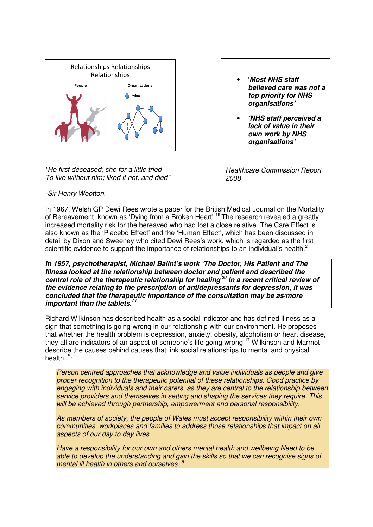

"He first deceased; she for a little tried To live without him; liked it not, and died"

- '**Most NHS staff believed care was not a top priority for NHS organisations'**
- **'NHS staff perceived a lack of value in their own work by NHS organisations'**

Healthcare Commission Report 2008

-Sir Henry Wootton.

In 1967, Welsh GP Dewi Rees wrote a paper for the British Medical Journal on the Mortality of Bereavement, known as 'Dying from a Broken Heart'.<sup>19</sup> The research revealed a greatly increased mortality risk for the bereaved who had lost a close relative. The Care Effect is also known as the 'Placebo Effect' and the 'Human Effect', which has been discussed in detail by Dixon and Sweeney who cited Dewi Rees's work, which is regarded as the first scientific evidence to support the importance of relationships to an individual's health.<sup>2</sup>

**In 1957, psychotherapist, Michael Balint's work 'The Doctor, His Patient and The Illness looked at the relationship between doctor and patient and described the central role of the therapeutic relationship for healing<sup>20</sup> In a recent critical review of the evidence relating to the prescription of antidepressants for depression, it was concluded that the therapeutic importance of the consultation may be as/more important than the tablets.<sup>21</sup>**

Richard Wilkinson has described health as a social indicator and has defined illness as a sign that something is going wrong in our relationship with our environment. He proposes that whether the health problem is depression, anxiety, obesity, alcoholism or heart disease, they all are indicators of an aspect of someone's life going wrong.<sup>17</sup> Wilkinson and Marmot describe the causes behind causes that link social relationships to mental and physical health.<sup>5</sup>:

Person centred approaches that acknowledge and value individuals as people and give proper recognition to the therapeutic potential of these relationships. Good practice by engaging with individuals and their carers, as they are central to the relationship between service providers and themselves in setting and shaping the services they require. This will be achieved through partnership, empowerment and personal responsibility.

As members of society, the people of Wales must accept responsibility within their own communities, workplaces and families to address those relationships that impact on all aspects of our day to day lives

Have a responsibility for our own and others mental health and wellbeing Need to be able to develop the understanding and gain the skills so that we can recognise signs of mental ill health in others and ourselves. <sup>6</sup>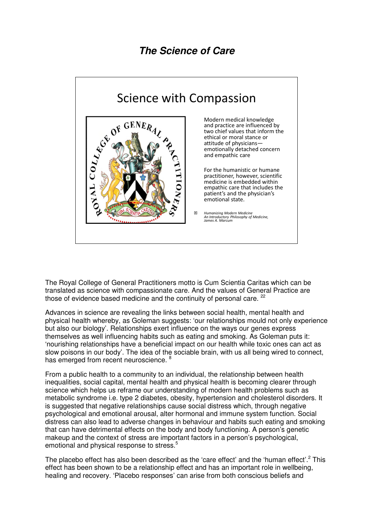## **The Science of Care**



The Royal College of General Practitioners motto is Cum Scientia Caritas which can be translated as science with compassionate care. And the values of General Practice are those of evidence based medicine and the continuity of personal care. <sup>22</sup>

Advances in science are revealing the links between social health, mental health and physical health whereby, as Goleman suggests: 'our relationships mould not only experience but also our biology'. Relationships exert influence on the ways our genes express themselves as well influencing habits such as eating and smoking. As Goleman puts it: 'nourishing relationships have a beneficial impact on our health while toxic ones can act as slow poisons in our body'. The idea of the sociable brain, with us all being wired to connect, has emerged from recent neuroscience. <sup>8</sup>

From a public health to a community to an individual, the relationship between health inequalities, social capital, mental health and physical health is becoming clearer through science which helps us reframe our understanding of modern health problems such as metabolic syndrome i.e. type 2 diabetes, obesity, hypertension and cholesterol disorders. It is suggested that negative relationships cause social distress which, through negative psychological and emotional arousal, alter hormonal and immune system function. Social distress can also lead to adverse changes in behaviour and habits such eating and smoking that can have detrimental effects on the body and body functioning. A person's genetic makeup and the context of stress are important factors in a person's psychological, emotional and physical response to stress.<sup>5</sup>

The placebo effect has also been described as the 'care effect' and the 'human effect'.<sup>2</sup> This effect has been shown to be a relationship effect and has an important role in wellbeing, healing and recovery. 'Placebo responses' can arise from both conscious beliefs and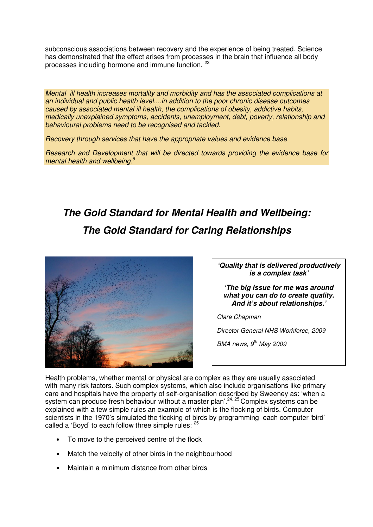subconscious associations between recovery and the experience of being treated. Science has demonstrated that the effect arises from processes in the brain that influence all body processes including hormone and immune function. <sup>23</sup>

Mental ill health increases mortality and morbidity and has the associated complications at an individual and public health level....in addition to the poor chronic disease outcomes caused by associated mental ill health, the complications of obesity, addictive habits, medically unexplained symptoms, accidents, unemployment, debt, poverty, relationship and behavioural problems need to be recognised and tackled.

Recovery through services that have the appropriate values and evidence base

Research and Development that will be directed towards providing the evidence base for mental health and wellbeing.<sup>6</sup>

# **The Gold Standard for Mental Health and Wellbeing: The Gold Standard for Caring Relationships**



**'Quality that is delivered productively is a complex task'** 

**'The big issue for me was around what you can do to create quality. And it's about relationships.'** 

Clare Chapman

Director General NHS Workforce, 2009

BMA news,  $9<sup>th</sup>$  May 2009

Health problems, whether mental or physical are complex as they are usually associated with many risk factors. Such complex systems, which also include organisations like primary care and hospitals have the property of self-organisation described by Sweeney as: 'when a system can produce fresh behaviour without a master plan<sup>' 24, 25</sup> Complex systems can be explained with a few simple rules an example of which is the flocking of birds. Computer scientists in the 1970's simulated the flocking of birds by programming each computer 'bird' called a 'Boyd' to each follow three simple rules: <sup>25</sup>

- To move to the perceived centre of the flock
- Match the velocity of other birds in the neighbourhood
- Maintain a minimum distance from other birds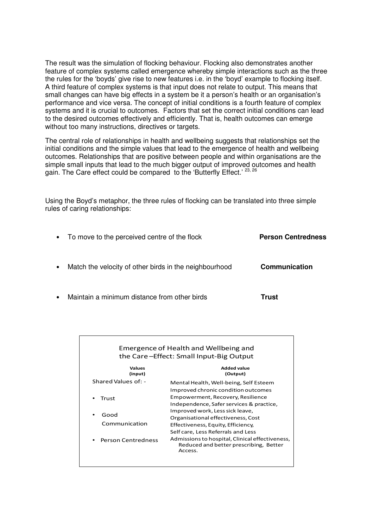The result was the simulation of flocking behaviour. Flocking also demonstrates another feature of complex systems called emergence whereby simple interactions such as the three the rules for the 'boyds' give rise to new features i.e. in the 'boyd' example to flocking itself. A third feature of complex systems is that input does not relate to output. This means that small changes can have big effects in a system be it a person's health or an organisation's performance and vice versa. The concept of initial conditions is a fourth feature of complex systems and it is crucial to outcomes. Factors that set the correct initial conditions can lead to the desired outcomes effectively and efficiently. That is, health outcomes can emerge without too many instructions, directives or targets.

The central role of relationships in health and wellbeing suggests that relationships set the initial conditions and the simple values that lead to the emergence of health and wellbeing outcomes. Relationships that are positive between people and within organisations are the simple small inputs that lead to the much bigger output of improved outcomes and health gain. The Care effect could be compared to the 'Butterfly Effect.' 23, 26

Using the Boyd's metaphor, the three rules of flocking can be translated into three simple rules of caring relationships:

| $\bullet$ | To move to the perceived centre of the flock           | <b>Person Centredness</b> |
|-----------|--------------------------------------------------------|---------------------------|
| $\bullet$ | Match the velocity of other birds in the neighbourhood | <b>Communication</b>      |
|           |                                                        |                           |

• Maintain a minimum distance from other birds **Trust**

| Emergence of Health and Wellbeing and<br>the Care-Effect: Small Input-Big Output |                                                                                                      |  |
|----------------------------------------------------------------------------------|------------------------------------------------------------------------------------------------------|--|
| <b>Values</b><br>(input)                                                         | <b>Added value</b><br>(Output)                                                                       |  |
| Shared Values of: -                                                              | Mental Health, Well-being, Self Esteem                                                               |  |
| Trust<br>Good<br>Communication                                                   | Improved chronic condition outcomes                                                                  |  |
|                                                                                  | Empowerment, Recovery, Resilience                                                                    |  |
|                                                                                  | Independence, Safer services & practice,                                                             |  |
|                                                                                  | Improved work, Less sick leave,                                                                      |  |
|                                                                                  | Organisational effectiveness, Cost                                                                   |  |
|                                                                                  | Effectiveness, Equity, Efficiency,                                                                   |  |
|                                                                                  | Self care, Less Referrals and Less                                                                   |  |
| <b>Person Centredness</b>                                                        | Admissions to hospital, Clinical effectiveness,<br>Reduced and better prescribing, Better<br>Access. |  |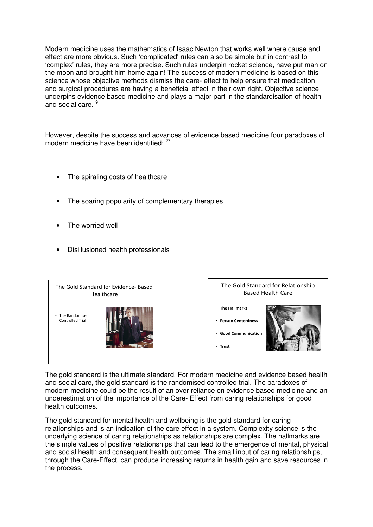Modern medicine uses the mathematics of Isaac Newton that works well where cause and effect are more obvious. Such 'complicated' rules can also be simple but in contrast to 'complex' rules, they are more precise. Such rules underpin rocket science, have put man on the moon and brought him home again! The success of modern medicine is based on this science whose objective methods dismiss the care- effect to help ensure that medication and surgical procedures are having a beneficial effect in their own right. Objective science underpins evidence based medicine and plays a major part in the standardisation of health and social care.<sup>9</sup>

However, despite the success and advances of evidence based medicine four paradoxes of modern medicine have been identified: <sup>27</sup>

- The spiraling costs of healthcare
- The soaring popularity of complementary therapies
- The worried well
- Disillusioned health professionals





The gold standard is the ultimate standard. For modern medicine and evidence based health and social care, the gold standard is the randomised controlled trial. The paradoxes of modern medicine could be the result of an over reliance on evidence based medicine and an underestimation of the importance of the Care- Effect from caring relationships for good health outcomes.

The gold standard for mental health and wellbeing is the gold standard for caring relationships and is an indication of the care effect in a system. Complexity science is the underlying science of caring relationships as relationships are complex. The hallmarks are the simple values of positive relationships that can lead to the emergence of mental, physical and social health and consequent health outcomes. The small input of caring relationships, through the Care-Effect, can produce increasing returns in health gain and save resources in the process.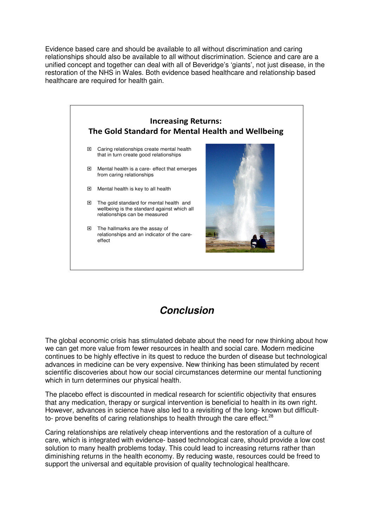Evidence based care and should be available to all without discrimination and caring relationships should also be available to all without discrimination. Science and care are a unified concept and together can deal with all of Beveridge's 'giants', not just disease, in the restoration of the NHS in Wales. Both evidence based healthcare and relationship based healthcare are required for health gain.



### **Conclusion**

The global economic crisis has stimulated debate about the need for new thinking about how we can get more value from fewer resources in health and social care. Modern medicine continues to be highly effective in its quest to reduce the burden of disease but technological advances in medicine can be very expensive. New thinking has been stimulated by recent scientific discoveries about how our social circumstances determine our mental functioning which in turn determines our physical health.

The placebo effect is discounted in medical research for scientific objectivity that ensures that any medication, therapy or surgical intervention is beneficial to health in its own right. However, advances in science have also led to a revisiting of the long- known but difficultto- prove benefits of caring relationships to health through the care effect.<sup>28</sup>

Caring relationships are relatively cheap interventions and the restoration of a culture of care, which is integrated with evidence- based technological care, should provide a low cost solution to many health problems today. This could lead to increasing returns rather than diminishing returns in the health economy. By reducing waste, resources could be freed to support the universal and equitable provision of quality technological healthcare.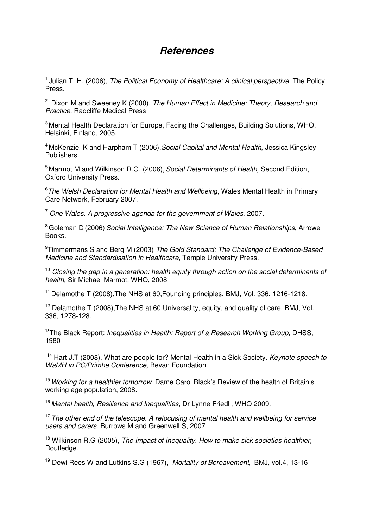### **References**

 $<sup>1</sup>$  Julian T. H. (2006), The Political Economy of Healthcare: A clinical perspective, The Policy</sup> Press.

 $2$  Dixon M and Sweeney K (2000), The Human Effect in Medicine: Theory, Research and Practice, Radcliffe Medical Press

<sup>3</sup> Mental Health Declaration for Europe, Facing the Challenges, Building Solutions, WHO. Helsinki, Finland, 2005.

<sup>4</sup> McKenzie. K and Harpham T (2006), Social Capital and Mental Health, Jessica Kingsley Publishers.

<sup>5</sup> Marmot M and Wilkinson R.G. (2006), Social Determinants of Health, Second Edition, Oxford University Press.

 $6$ The Welsh Declaration for Mental Health and Wellbeing, Wales Mental Health in Primary Care Network, February 2007.

 $7$  One Wales. A progressive agenda for the government of Wales. 2007.

<sup>8</sup> Goleman D (2006) Social Intelligence: The New Science of Human Relationships, Arrowe Books.

<sup>9</sup>Timmermans S and Berg M (2003) The Gold Standard: The Challenge of Evidence-Based Medicine and Standardisation in Healthcare, Temple University Press.

 $10$  Closing the gap in a generation: health equity through action on the social determinants of health, Sir Michael Marmot, WHO, 2008

<sup>11</sup> Delamothe T (2008), The NHS at 60, Founding principles, BMJ, Vol. 336, 1216-1218.

 $12$  Delamothe T (2008), The NHS at 60, Universality, equity, and quality of care, BMJ, Vol. 336, 1278-128.

**<sup>13</sup>**The Black Report: Inequalities in Health: Report of a Research Working Group, DHSS, 1980

<sup>14</sup> Hart J.T (2008), What are people for? Mental Health in a Sick Society. Keynote speech to WaMH in PC/Primhe Conference, Bevan Foundation.

<sup>15</sup> Working for a healthier tomorrow Dame Carol Black's Review of the health of Britain's working age population, 2008.

<sup>16</sup> Mental health, Resilience and Inequalities, Dr Lynne Friedli, WHO 2009.

 $17$  The other end of the telescope. A refocusing of mental health and wellbeing for service users and carers. Burrows M and Greenwell S, 2007

<sup>18</sup> Wilkinson R.G (2005), The Impact of Inequality. How to make sick societies healthier. Routledge.

<sup>19</sup> Dewi Rees W and Lutkins S.G (1967), Mortality of Bereavement, BMJ, vol.4, 13-16